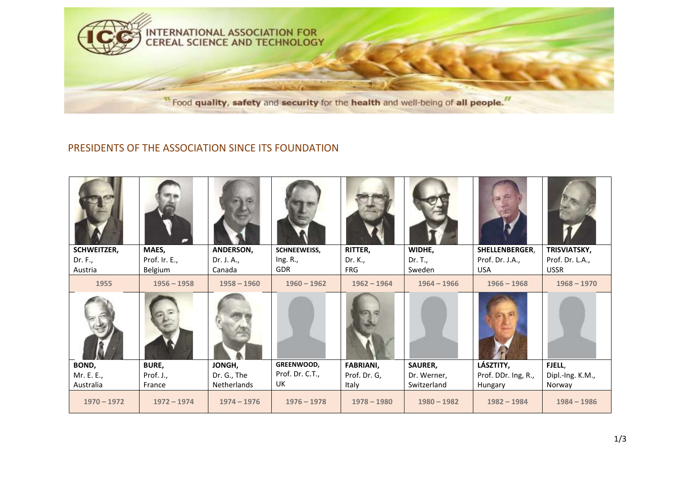

## PRESIDENTS OF THE ASSOCIATION SINCE ITS FOUNDATION

| <b>SCHWEITZER,</b> | MAES,         | ANDERSON,     | SCHNEEWEISS,    | RITTER,          | WIDHE,        | SHELLENBERGER,      | TRISVIATSKY,     |
|--------------------|---------------|---------------|-----------------|------------------|---------------|---------------------|------------------|
| Dr. F.,            | Prof. Ir. E., | Dr. J. A.,    | Ing. R.,        | Dr. K.,          | Dr. T.,       | Prof. Dr. J.A.,     | Prof. Dr. L.A.,  |
| Austria            | Belgium       | Canada        | <b>GDR</b>      | <b>FRG</b>       | Sweden        | <b>USA</b>          | <b>USSR</b>      |
| 1955               | $1956 - 1958$ | $1958 - 1960$ | $1960 - 1962$   | $1962 - 1964$    | $1964 - 1966$ | $1966 - 1968$       | $1968 - 1970$    |
|                    |               |               |                 |                  |               |                     |                  |
| BOND,              | <b>BURE,</b>  | JONGH,        | GREENWOOD,      | <b>FABRIANI,</b> | SAURER,       | LÁSZTITY,           | FJELL,           |
| Mr. E. E.,         | Prof. J.,     | Dr. G., The   | Prof. Dr. C.T., | Prof. Dr. G,     | Dr. Werner,   | Prof. DDr. Ing, R., | Dipl.-Ing. K.M., |
| Australia          | France        | Netherlands   | UK              | Italy            | Switzerland   | Hungary             | Norway           |
| $1970 - 1972$      | $1972 - 1974$ | $1974 - 1976$ | $1976 - 1978$   | $1978 - 1980$    | $1980 - 1982$ | $1982 - 1984$       | $1984 - 1986$    |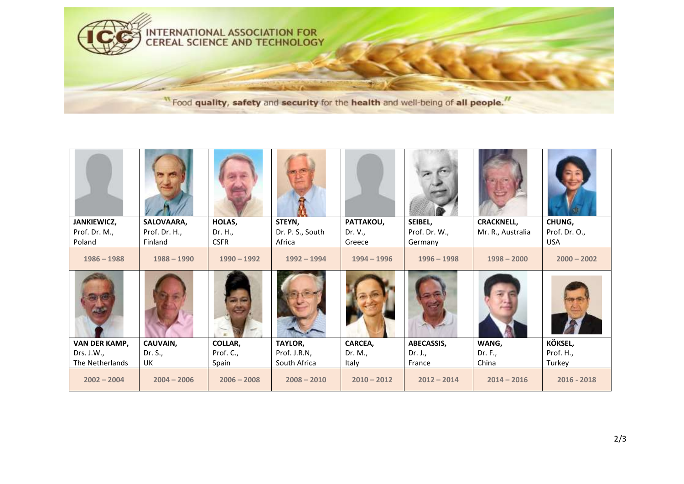

| JANKIEWICZ,     | SALOVAARA,    | HOLAS,        | STEYN,           | PATTAKOU,     | SEIBEL,       | <b>CRACKNELL,</b> | CHUNG,        |
|-----------------|---------------|---------------|------------------|---------------|---------------|-------------------|---------------|
| Prof. Dr. M.,   | Prof. Dr. H., | Dr. H.,       | Dr. P. S., South | Dr. V.,       | Prof. Dr. W., | Mr. R., Australia | Prof. Dr. O., |
| Poland          | Finland       | <b>CSFR</b>   | Africa           | Greece        | Germany       |                   | <b>USA</b>    |
| $1986 - 1988$   | $1988 - 1990$ | $1990 - 1992$ | $1992 - 1994$    | $1994 - 1996$ | $1996 - 1998$ | $1998 - 2000$     | $2000 - 2002$ |
|                 |               |               |                  |               |               |                   |               |
| VAN DER KAMP,   | CAUVAIN,      | COLLAR,       | TAYLOR,          | CARCEA,       | ABECASSIS,    | WANG,             | KÖKSEL,       |
| Drs. J.W.,      | Dr. S.,       | Prof. C.,     | Prof. J.R.N,     | Dr. M.,       | Dr. J.,       | Dr. F.,           | Prof. H.,     |
| The Netherlands | UK            | Spain         | South Africa     | Italy         | France        | China             | Turkey        |
| $2002 - 2004$   | $2004 - 2006$ | $2006 - 2008$ | $2008 - 2010$    | $2010 - 2012$ | $2012 - 2014$ | $2014 - 2016$     | $2016 - 2018$ |